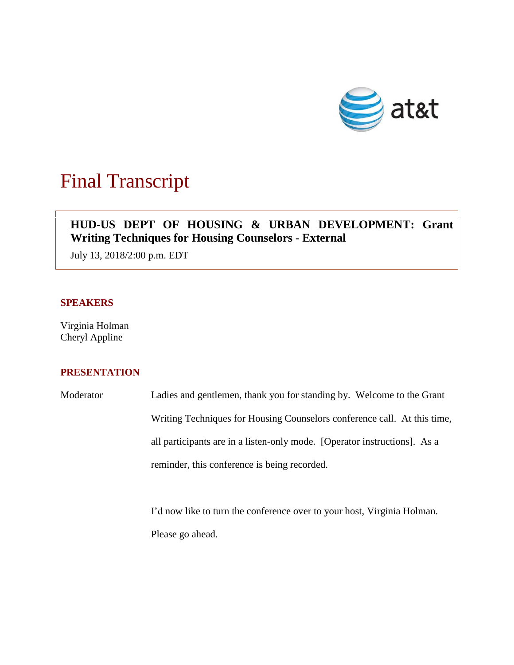

# Final Transcript

# **HUD-US DEPT OF HOUSING & URBAN DEVELOPMENT: Grant Writing Techniques for Housing Counselors - External**

July 13, 2018/2:00 p.m. EDT

# **SPEAKERS**

Virginia Holman Cheryl Appline

# **PRESENTATION**

Moderator Ladies and gentlemen, thank you for standing by. Welcome to the Grant Writing Techniques for Housing Counselors conference call. At this time, all participants are in a listen-only mode. [Operator instructions]. As a reminder, this conference is being recorded.

> I'd now like to turn the conference over to your host, Virginia Holman. Please go ahead.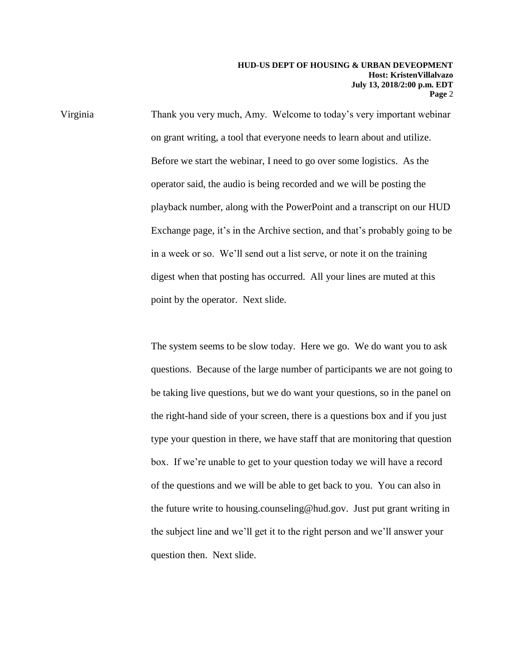Virginia Thank you very much, Amy. Welcome to today's very important webinar on grant writing, a tool that everyone needs to learn about and utilize. Before we start the webinar, I need to go over some logistics. As the operator said, the audio is being recorded and we will be posting the playback number, along with the PowerPoint and a transcript on our HUD Exchange page, it's in the Archive section, and that's probably going to be in a week or so. We'll send out a list serve, or note it on the training digest when that posting has occurred. All your lines are muted at this point by the operator. Next slide.

> The system seems to be slow today. Here we go. We do want you to ask questions. Because of the large number of participants we are not going to be taking live questions, but we do want your questions, so in the panel on the right-hand side of your screen, there is a questions box and if you just type your question in there, we have staff that are monitoring that question box. If we're unable to get to your question today we will have a record of the questions and we will be able to get back to you. You can also in the future write to housing.counseling@hud.gov. Just put grant writing in the subject line and we'll get it to the right person and we'll answer your question then. Next slide.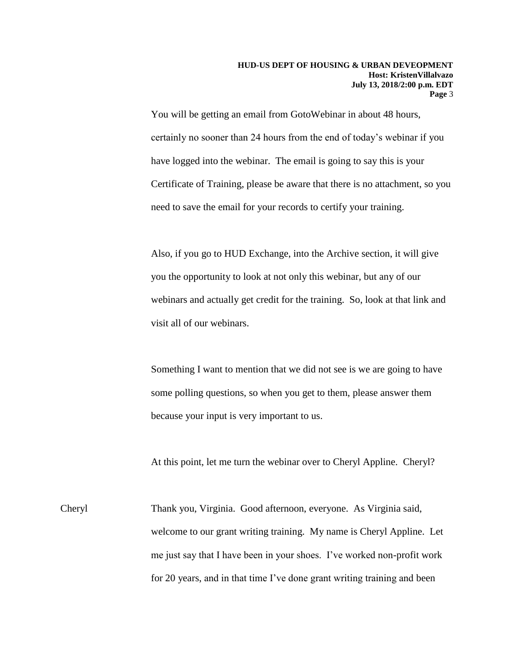You will be getting an email from GotoWebinar in about 48 hours, certainly no sooner than 24 hours from the end of today's webinar if you have logged into the webinar. The email is going to say this is your Certificate of Training, please be aware that there is no attachment, so you need to save the email for your records to certify your training.

Also, if you go to HUD Exchange, into the Archive section, it will give you the opportunity to look at not only this webinar, but any of our webinars and actually get credit for the training. So, look at that link and visit all of our webinars.

Something I want to mention that we did not see is we are going to have some polling questions, so when you get to them, please answer them because your input is very important to us.

At this point, let me turn the webinar over to Cheryl Appline. Cheryl?

Cheryl Thank you, Virginia. Good afternoon, everyone. As Virginia said, welcome to our grant writing training. My name is Cheryl Appline. Let me just say that I have been in your shoes. I've worked non-profit work for 20 years, and in that time I've done grant writing training and been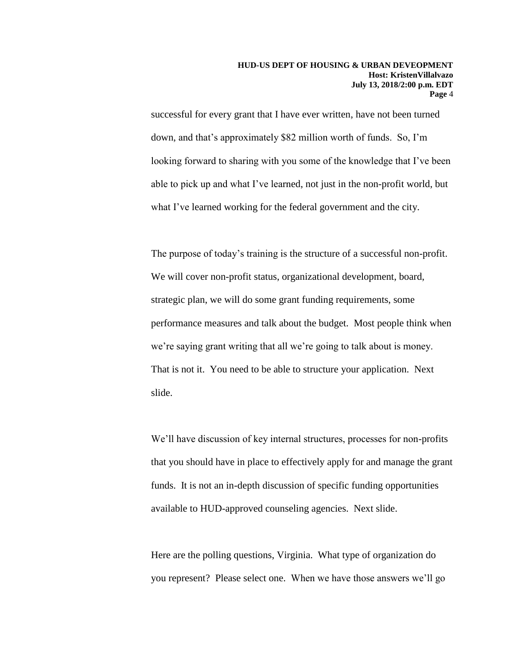successful for every grant that I have ever written, have not been turned down, and that's approximately \$82 million worth of funds. So, I'm looking forward to sharing with you some of the knowledge that I've been able to pick up and what I've learned, not just in the non-profit world, but what I've learned working for the federal government and the city.

The purpose of today's training is the structure of a successful non-profit. We will cover non-profit status, organizational development, board, strategic plan, we will do some grant funding requirements, some performance measures and talk about the budget. Most people think when we're saying grant writing that all we're going to talk about is money. That is not it. You need to be able to structure your application. Next slide.

We'll have discussion of key internal structures, processes for non-profits that you should have in place to effectively apply for and manage the grant funds. It is not an in-depth discussion of specific funding opportunities available to HUD-approved counseling agencies. Next slide.

Here are the polling questions, Virginia. What type of organization do you represent? Please select one. When we have those answers we'll go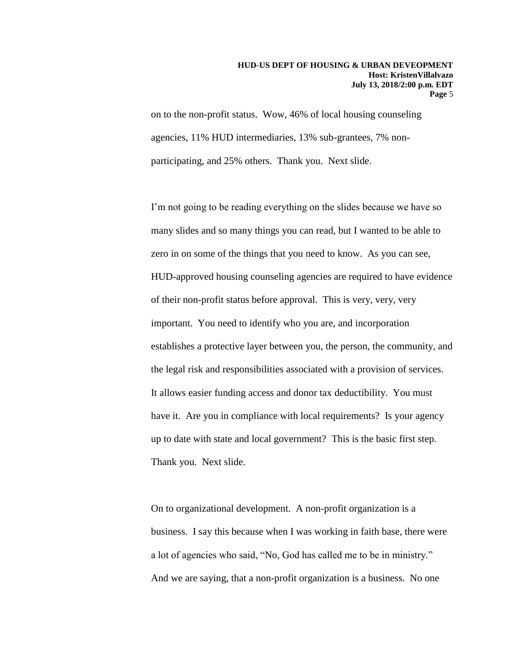on to the non-profit status. Wow, 46% of local housing counseling agencies, 11% HUD intermediaries, 13% sub-grantees, 7% nonparticipating, and 25% others. Thank you. Next slide.

I'm not going to be reading everything on the slides because we have so many slides and so many things you can read, but I wanted to be able to zero in on some of the things that you need to know. As you can see, HUD-approved housing counseling agencies are required to have evidence of their non-profit status before approval. This is very, very, very important. You need to identify who you are, and incorporation establishes a protective layer between you, the person, the community, and the legal risk and responsibilities associated with a provision of services. It allows easier funding access and donor tax deductibility. You must have it. Are you in compliance with local requirements? Is your agency up to date with state and local government? This is the basic first step. Thank you. Next slide.

On to organizational development. A non-profit organization is a business. I say this because when I was working in faith base, there were a lot of agencies who said, "No, God has called me to be in ministry." And we are saying, that a non-profit organization is a business. No one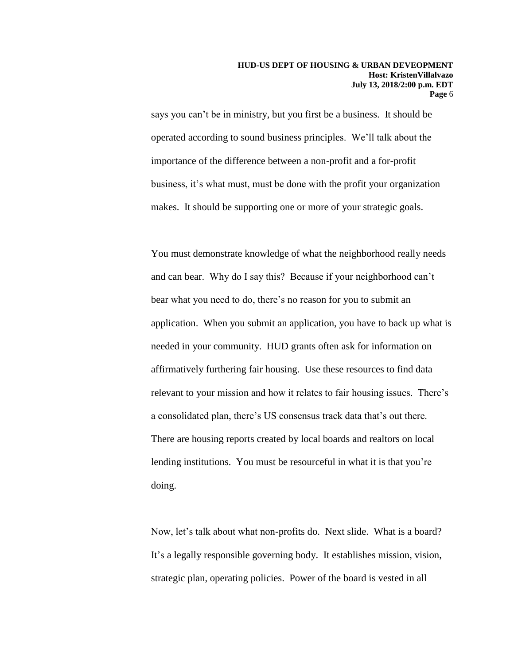says you can't be in ministry, but you first be a business. It should be operated according to sound business principles. We'll talk about the importance of the difference between a non-profit and a for-profit business, it's what must, must be done with the profit your organization makes. It should be supporting one or more of your strategic goals.

You must demonstrate knowledge of what the neighborhood really needs and can bear. Why do I say this? Because if your neighborhood can't bear what you need to do, there's no reason for you to submit an application. When you submit an application, you have to back up what is needed in your community. HUD grants often ask for information on affirmatively furthering fair housing. Use these resources to find data relevant to your mission and how it relates to fair housing issues. There's a consolidated plan, there's US consensus track data that's out there. There are housing reports created by local boards and realtors on local lending institutions. You must be resourceful in what it is that you're doing.

Now, let's talk about what non-profits do. Next slide. What is a board? It's a legally responsible governing body. It establishes mission, vision, strategic plan, operating policies. Power of the board is vested in all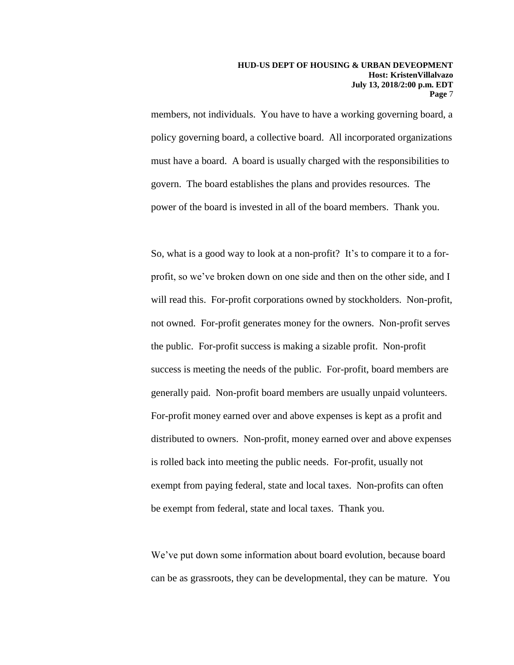members, not individuals. You have to have a working governing board, a policy governing board, a collective board. All incorporated organizations must have a board. A board is usually charged with the responsibilities to govern. The board establishes the plans and provides resources. The power of the board is invested in all of the board members. Thank you.

So, what is a good way to look at a non-profit? It's to compare it to a forprofit, so we've broken down on one side and then on the other side, and I will read this. For-profit corporations owned by stockholders. Non-profit, not owned. For-profit generates money for the owners. Non-profit serves the public. For-profit success is making a sizable profit. Non-profit success is meeting the needs of the public. For-profit, board members are generally paid. Non-profit board members are usually unpaid volunteers. For-profit money earned over and above expenses is kept as a profit and distributed to owners. Non-profit, money earned over and above expenses is rolled back into meeting the public needs. For-profit, usually not exempt from paying federal, state and local taxes. Non-profits can often be exempt from federal, state and local taxes. Thank you.

We've put down some information about board evolution, because board can be as grassroots, they can be developmental, they can be mature. You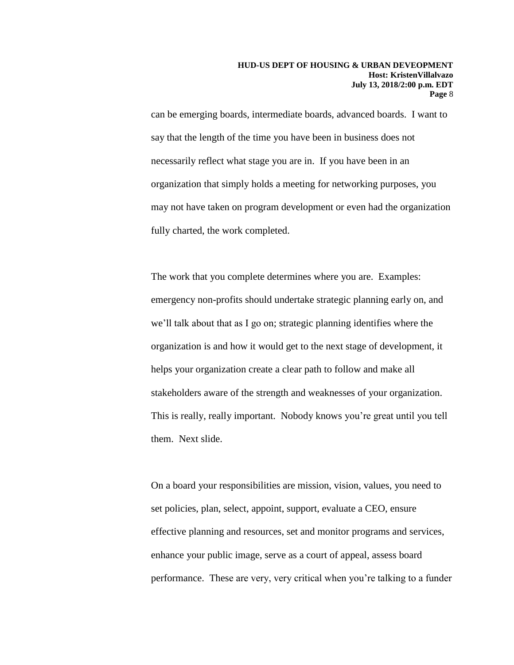can be emerging boards, intermediate boards, advanced boards. I want to say that the length of the time you have been in business does not necessarily reflect what stage you are in. If you have been in an organization that simply holds a meeting for networking purposes, you may not have taken on program development or even had the organization fully charted, the work completed.

The work that you complete determines where you are. Examples: emergency non-profits should undertake strategic planning early on, and we'll talk about that as I go on; strategic planning identifies where the organization is and how it would get to the next stage of development, it helps your organization create a clear path to follow and make all stakeholders aware of the strength and weaknesses of your organization. This is really, really important. Nobody knows you're great until you tell them. Next slide.

On a board your responsibilities are mission, vision, values, you need to set policies, plan, select, appoint, support, evaluate a CEO, ensure effective planning and resources, set and monitor programs and services, enhance your public image, serve as a court of appeal, assess board performance. These are very, very critical when you're talking to a funder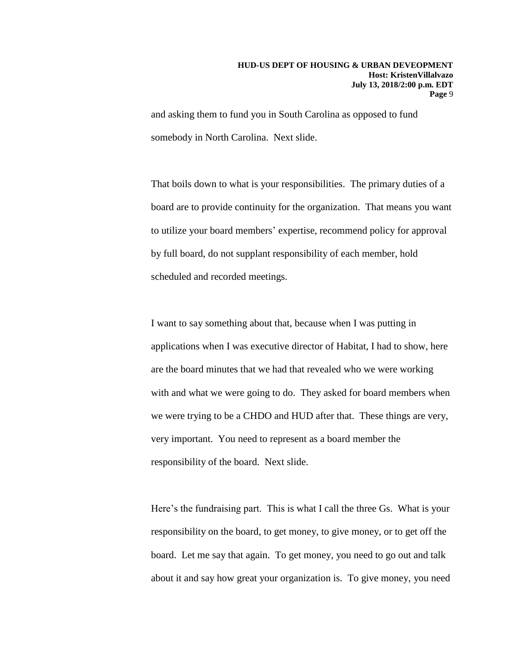and asking them to fund you in South Carolina as opposed to fund somebody in North Carolina. Next slide.

That boils down to what is your responsibilities. The primary duties of a board are to provide continuity for the organization. That means you want to utilize your board members' expertise, recommend policy for approval by full board, do not supplant responsibility of each member, hold scheduled and recorded meetings.

I want to say something about that, because when I was putting in applications when I was executive director of Habitat, I had to show, here are the board minutes that we had that revealed who we were working with and what we were going to do. They asked for board members when we were trying to be a CHDO and HUD after that. These things are very, very important. You need to represent as a board member the responsibility of the board. Next slide.

Here's the fundraising part. This is what I call the three Gs. What is your responsibility on the board, to get money, to give money, or to get off the board. Let me say that again. To get money, you need to go out and talk about it and say how great your organization is. To give money, you need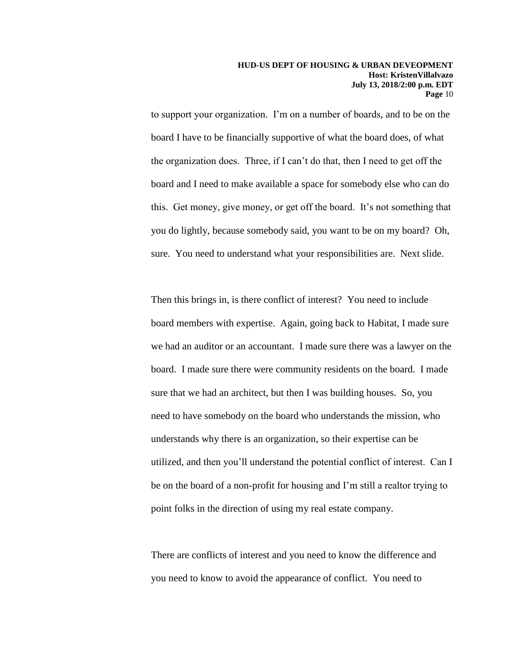to support your organization. I'm on a number of boards, and to be on the board I have to be financially supportive of what the board does, of what the organization does. Three, if I can't do that, then I need to get off the board and I need to make available a space for somebody else who can do this. Get money, give money, or get off the board. It's not something that you do lightly, because somebody said, you want to be on my board? Oh, sure. You need to understand what your responsibilities are. Next slide.

Then this brings in, is there conflict of interest? You need to include board members with expertise. Again, going back to Habitat, I made sure we had an auditor or an accountant. I made sure there was a lawyer on the board. I made sure there were community residents on the board. I made sure that we had an architect, but then I was building houses. So, you need to have somebody on the board who understands the mission, who understands why there is an organization, so their expertise can be utilized, and then you'll understand the potential conflict of interest. Can I be on the board of a non-profit for housing and I'm still a realtor trying to point folks in the direction of using my real estate company.

There are conflicts of interest and you need to know the difference and you need to know to avoid the appearance of conflict. You need to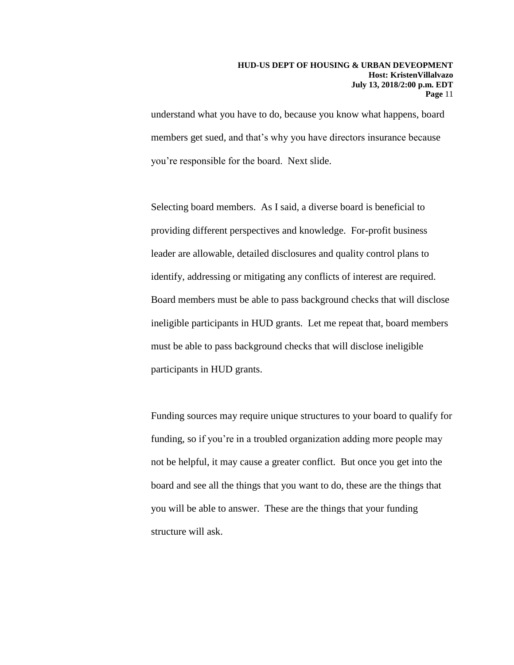understand what you have to do, because you know what happens, board members get sued, and that's why you have directors insurance because you're responsible for the board. Next slide.

Selecting board members. As I said, a diverse board is beneficial to providing different perspectives and knowledge. For-profit business leader are allowable, detailed disclosures and quality control plans to identify, addressing or mitigating any conflicts of interest are required. Board members must be able to pass background checks that will disclose ineligible participants in HUD grants. Let me repeat that, board members must be able to pass background checks that will disclose ineligible participants in HUD grants.

Funding sources may require unique structures to your board to qualify for funding, so if you're in a troubled organization adding more people may not be helpful, it may cause a greater conflict. But once you get into the board and see all the things that you want to do, these are the things that you will be able to answer. These are the things that your funding structure will ask.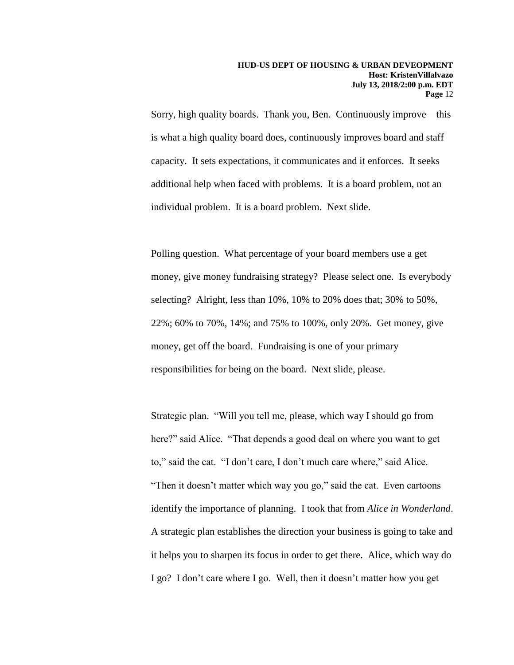Sorry, high quality boards. Thank you, Ben. Continuously improve—this is what a high quality board does, continuously improves board and staff capacity. It sets expectations, it communicates and it enforces. It seeks additional help when faced with problems. It is a board problem, not an individual problem. It is a board problem. Next slide.

Polling question. What percentage of your board members use a get money, give money fundraising strategy? Please select one. Is everybody selecting? Alright, less than 10%, 10% to 20% does that; 30% to 50%, 22%; 60% to 70%, 14%; and 75% to 100%, only 20%. Get money, give money, get off the board. Fundraising is one of your primary responsibilities for being on the board. Next slide, please.

Strategic plan. "Will you tell me, please, which way I should go from here?" said Alice. "That depends a good deal on where you want to get to," said the cat. "I don't care, I don't much care where," said Alice. "Then it doesn't matter which way you go," said the cat. Even cartoons identify the importance of planning. I took that from *Alice in Wonderland*. A strategic plan establishes the direction your business is going to take and it helps you to sharpen its focus in order to get there. Alice, which way do I go? I don't care where I go. Well, then it doesn't matter how you get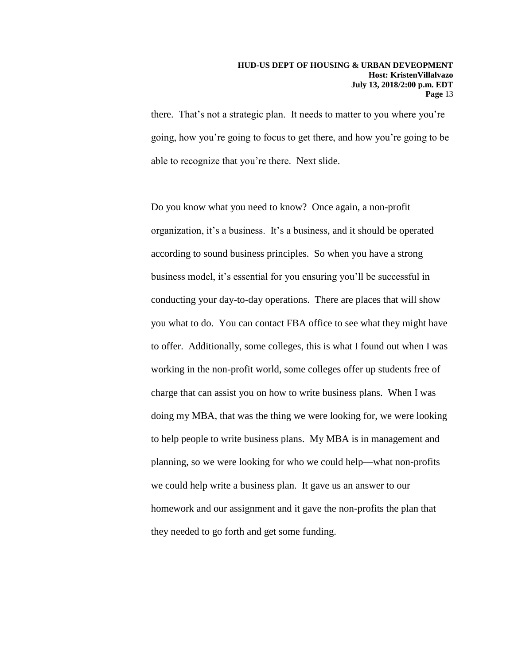there. That's not a strategic plan. It needs to matter to you where you're going, how you're going to focus to get there, and how you're going to be able to recognize that you're there. Next slide.

Do you know what you need to know? Once again, a non-profit organization, it's a business. It's a business, and it should be operated according to sound business principles. So when you have a strong business model, it's essential for you ensuring you'll be successful in conducting your day-to-day operations. There are places that will show you what to do. You can contact FBA office to see what they might have to offer. Additionally, some colleges, this is what I found out when I was working in the non-profit world, some colleges offer up students free of charge that can assist you on how to write business plans. When I was doing my MBA, that was the thing we were looking for, we were looking to help people to write business plans. My MBA is in management and planning, so we were looking for who we could help—what non-profits we could help write a business plan. It gave us an answer to our homework and our assignment and it gave the non-profits the plan that they needed to go forth and get some funding.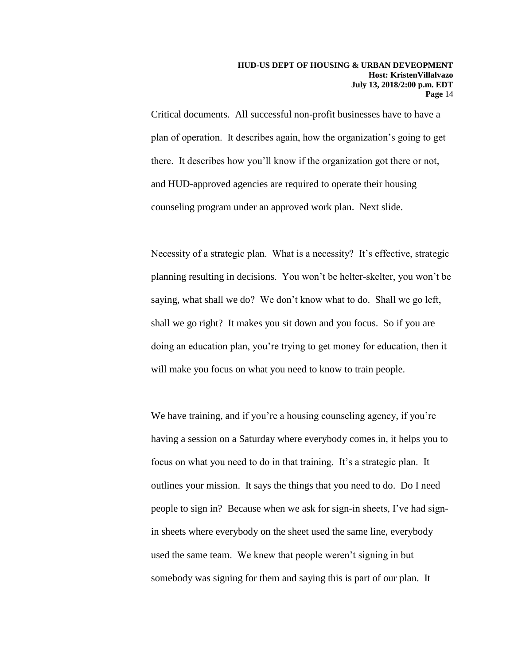Critical documents. All successful non-profit businesses have to have a plan of operation. It describes again, how the organization's going to get there. It describes how you'll know if the organization got there or not, and HUD-approved agencies are required to operate their housing counseling program under an approved work plan. Next slide.

Necessity of a strategic plan. What is a necessity? It's effective, strategic planning resulting in decisions. You won't be helter-skelter, you won't be saying, what shall we do? We don't know what to do. Shall we go left, shall we go right? It makes you sit down and you focus. So if you are doing an education plan, you're trying to get money for education, then it will make you focus on what you need to know to train people.

We have training, and if you're a housing counseling agency, if you're having a session on a Saturday where everybody comes in, it helps you to focus on what you need to do in that training. It's a strategic plan. It outlines your mission. It says the things that you need to do. Do I need people to sign in? Because when we ask for sign-in sheets, I've had signin sheets where everybody on the sheet used the same line, everybody used the same team. We knew that people weren't signing in but somebody was signing for them and saying this is part of our plan. It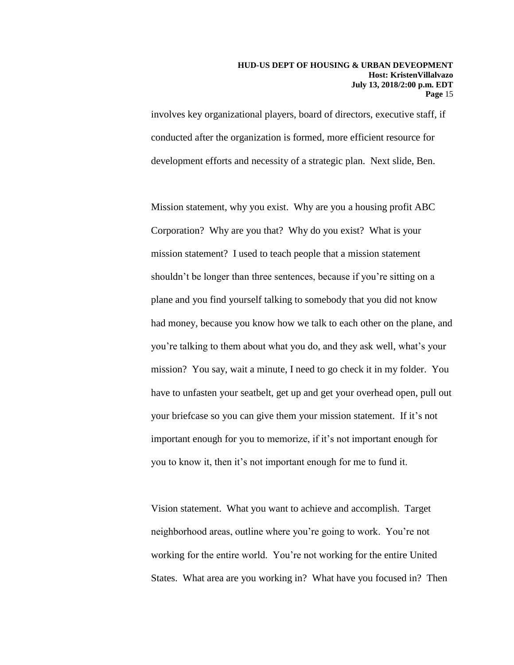involves key organizational players, board of directors, executive staff, if conducted after the organization is formed, more efficient resource for development efforts and necessity of a strategic plan. Next slide, Ben.

Mission statement, why you exist. Why are you a housing profit ABC Corporation? Why are you that? Why do you exist? What is your mission statement? I used to teach people that a mission statement shouldn't be longer than three sentences, because if you're sitting on a plane and you find yourself talking to somebody that you did not know had money, because you know how we talk to each other on the plane, and you're talking to them about what you do, and they ask well, what's your mission? You say, wait a minute, I need to go check it in my folder. You have to unfasten your seatbelt, get up and get your overhead open, pull out your briefcase so you can give them your mission statement. If it's not important enough for you to memorize, if it's not important enough for you to know it, then it's not important enough for me to fund it.

Vision statement. What you want to achieve and accomplish. Target neighborhood areas, outline where you're going to work. You're not working for the entire world. You're not working for the entire United States. What area are you working in? What have you focused in? Then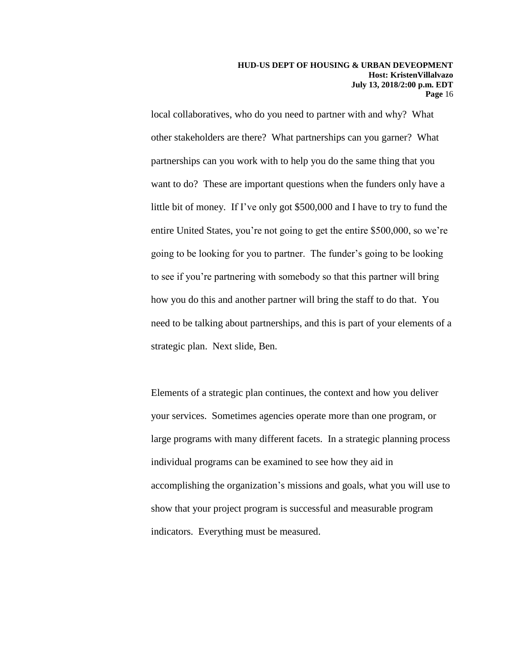local collaboratives, who do you need to partner with and why? What other stakeholders are there? What partnerships can you garner? What partnerships can you work with to help you do the same thing that you want to do? These are important questions when the funders only have a little bit of money. If I've only got \$500,000 and I have to try to fund the entire United States, you're not going to get the entire \$500,000, so we're going to be looking for you to partner. The funder's going to be looking to see if you're partnering with somebody so that this partner will bring how you do this and another partner will bring the staff to do that. You need to be talking about partnerships, and this is part of your elements of a strategic plan. Next slide, Ben.

Elements of a strategic plan continues, the context and how you deliver your services. Sometimes agencies operate more than one program, or large programs with many different facets. In a strategic planning process individual programs can be examined to see how they aid in accomplishing the organization's missions and goals, what you will use to show that your project program is successful and measurable program indicators. Everything must be measured.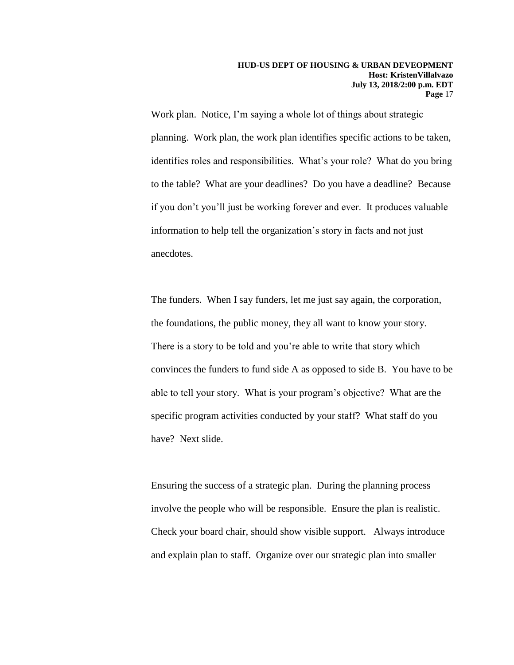Work plan. Notice, I'm saying a whole lot of things about strategic planning. Work plan, the work plan identifies specific actions to be taken, identifies roles and responsibilities. What's your role? What do you bring to the table? What are your deadlines? Do you have a deadline? Because if you don't you'll just be working forever and ever. It produces valuable information to help tell the organization's story in facts and not just anecdotes.

The funders. When I say funders, let me just say again, the corporation, the foundations, the public money, they all want to know your story. There is a story to be told and you're able to write that story which convinces the funders to fund side A as opposed to side B. You have to be able to tell your story. What is your program's objective? What are the specific program activities conducted by your staff? What staff do you have? Next slide.

Ensuring the success of a strategic plan. During the planning process involve the people who will be responsible. Ensure the plan is realistic. Check your board chair, should show visible support. Always introduce and explain plan to staff. Organize over our strategic plan into smaller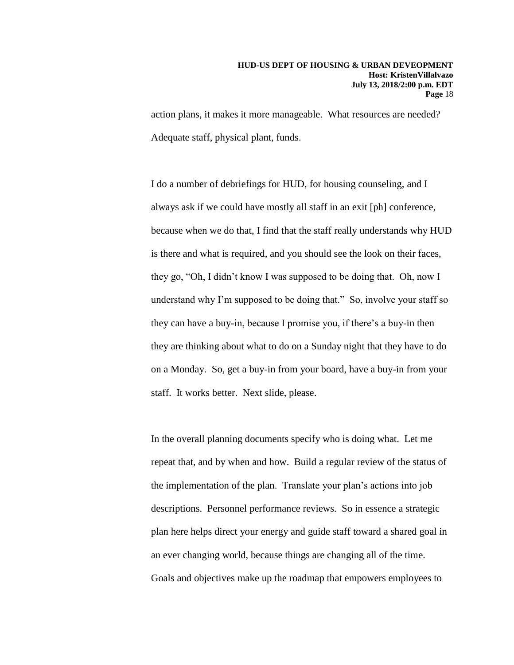action plans, it makes it more manageable. What resources are needed? Adequate staff, physical plant, funds.

I do a number of debriefings for HUD, for housing counseling, and I always ask if we could have mostly all staff in an exit [ph] conference, because when we do that, I find that the staff really understands why HUD is there and what is required, and you should see the look on their faces, they go, "Oh, I didn't know I was supposed to be doing that. Oh, now I understand why I'm supposed to be doing that." So, involve your staff so they can have a buy-in, because I promise you, if there's a buy-in then they are thinking about what to do on a Sunday night that they have to do on a Monday. So, get a buy-in from your board, have a buy-in from your staff. It works better. Next slide, please.

In the overall planning documents specify who is doing what. Let me repeat that, and by when and how. Build a regular review of the status of the implementation of the plan. Translate your plan's actions into job descriptions. Personnel performance reviews. So in essence a strategic plan here helps direct your energy and guide staff toward a shared goal in an ever changing world, because things are changing all of the time. Goals and objectives make up the roadmap that empowers employees to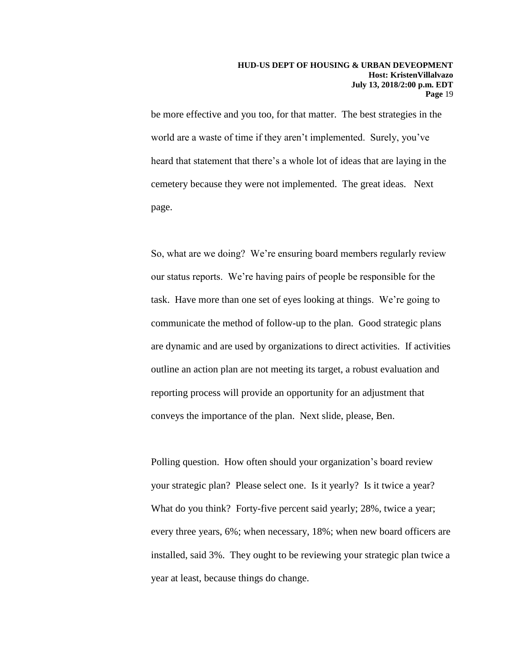be more effective and you too, for that matter. The best strategies in the world are a waste of time if they aren't implemented. Surely, you've heard that statement that there's a whole lot of ideas that are laying in the cemetery because they were not implemented. The great ideas. Next page.

So, what are we doing? We're ensuring board members regularly review our status reports. We're having pairs of people be responsible for the task. Have more than one set of eyes looking at things. We're going to communicate the method of follow-up to the plan. Good strategic plans are dynamic and are used by organizations to direct activities. If activities outline an action plan are not meeting its target, a robust evaluation and reporting process will provide an opportunity for an adjustment that conveys the importance of the plan. Next slide, please, Ben.

Polling question. How often should your organization's board review your strategic plan? Please select one. Is it yearly? Is it twice a year? What do you think? Forty-five percent said yearly; 28%, twice a year; every three years, 6%; when necessary, 18%; when new board officers are installed, said 3%. They ought to be reviewing your strategic plan twice a year at least, because things do change.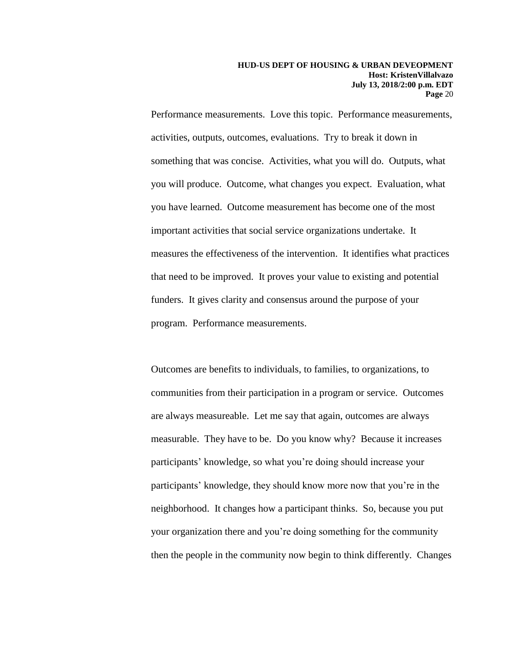Performance measurements. Love this topic. Performance measurements, activities, outputs, outcomes, evaluations. Try to break it down in something that was concise. Activities, what you will do. Outputs, what you will produce. Outcome, what changes you expect. Evaluation, what you have learned. Outcome measurement has become one of the most important activities that social service organizations undertake. It measures the effectiveness of the intervention. It identifies what practices that need to be improved. It proves your value to existing and potential funders. It gives clarity and consensus around the purpose of your program. Performance measurements.

Outcomes are benefits to individuals, to families, to organizations, to communities from their participation in a program or service. Outcomes are always measureable. Let me say that again, outcomes are always measurable. They have to be. Do you know why? Because it increases participants' knowledge, so what you're doing should increase your participants' knowledge, they should know more now that you're in the neighborhood. It changes how a participant thinks. So, because you put your organization there and you're doing something for the community then the people in the community now begin to think differently. Changes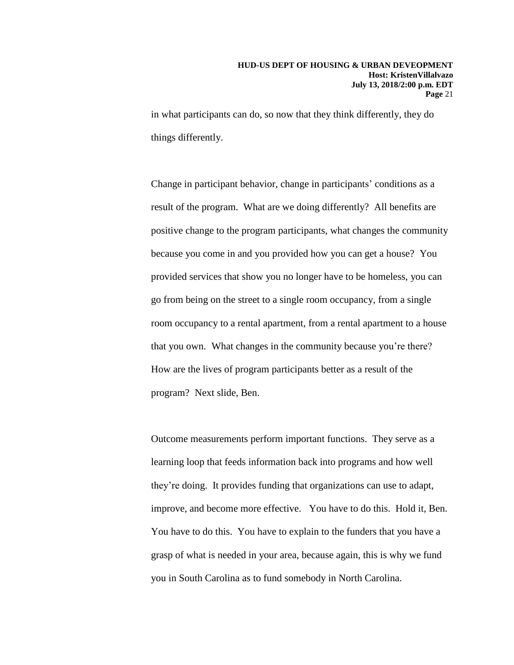in what participants can do, so now that they think differently, they do things differently.

Change in participant behavior, change in participants' conditions as a result of the program. What are we doing differently? All benefits are positive change to the program participants, what changes the community because you come in and you provided how you can get a house? You provided services that show you no longer have to be homeless, you can go from being on the street to a single room occupancy, from a single room occupancy to a rental apartment, from a rental apartment to a house that you own. What changes in the community because you're there? How are the lives of program participants better as a result of the program? Next slide, Ben.

Outcome measurements perform important functions. They serve as a learning loop that feeds information back into programs and how well they're doing. It provides funding that organizations can use to adapt, improve, and become more effective. You have to do this. Hold it, Ben. You have to do this. You have to explain to the funders that you have a grasp of what is needed in your area, because again, this is why we fund you in South Carolina as to fund somebody in North Carolina.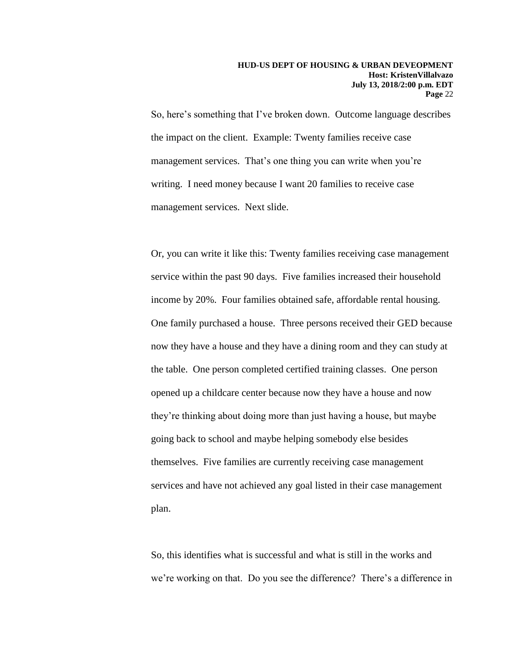So, here's something that I've broken down. Outcome language describes the impact on the client. Example: Twenty families receive case management services. That's one thing you can write when you're writing. I need money because I want 20 families to receive case management services. Next slide.

Or, you can write it like this: Twenty families receiving case management service within the past 90 days. Five families increased their household income by 20%. Four families obtained safe, affordable rental housing. One family purchased a house. Three persons received their GED because now they have a house and they have a dining room and they can study at the table. One person completed certified training classes. One person opened up a childcare center because now they have a house and now they're thinking about doing more than just having a house, but maybe going back to school and maybe helping somebody else besides themselves. Five families are currently receiving case management services and have not achieved any goal listed in their case management plan.

So, this identifies what is successful and what is still in the works and we're working on that. Do you see the difference? There's a difference in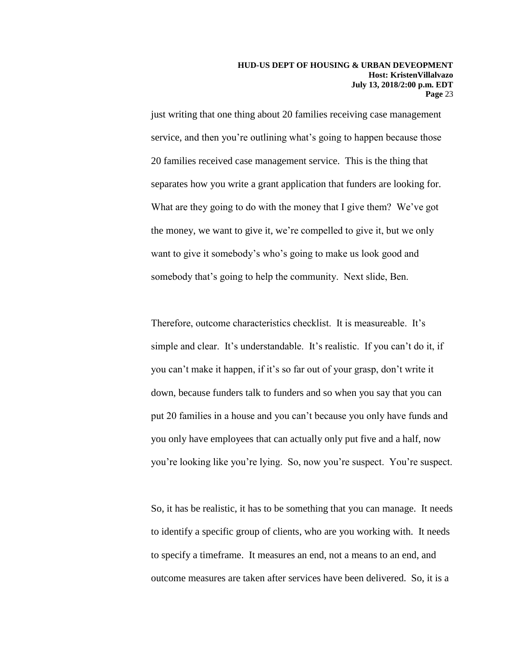just writing that one thing about 20 families receiving case management service, and then you're outlining what's going to happen because those 20 families received case management service. This is the thing that separates how you write a grant application that funders are looking for. What are they going to do with the money that I give them? We've got the money, we want to give it, we're compelled to give it, but we only want to give it somebody's who's going to make us look good and somebody that's going to help the community. Next slide, Ben.

Therefore, outcome characteristics checklist. It is measureable. It's simple and clear. It's understandable. It's realistic. If you can't do it, if you can't make it happen, if it's so far out of your grasp, don't write it down, because funders talk to funders and so when you say that you can put 20 families in a house and you can't because you only have funds and you only have employees that can actually only put five and a half, now you're looking like you're lying. So, now you're suspect. You're suspect.

So, it has be realistic, it has to be something that you can manage. It needs to identify a specific group of clients, who are you working with. It needs to specify a timeframe. It measures an end, not a means to an end, and outcome measures are taken after services have been delivered. So, it is a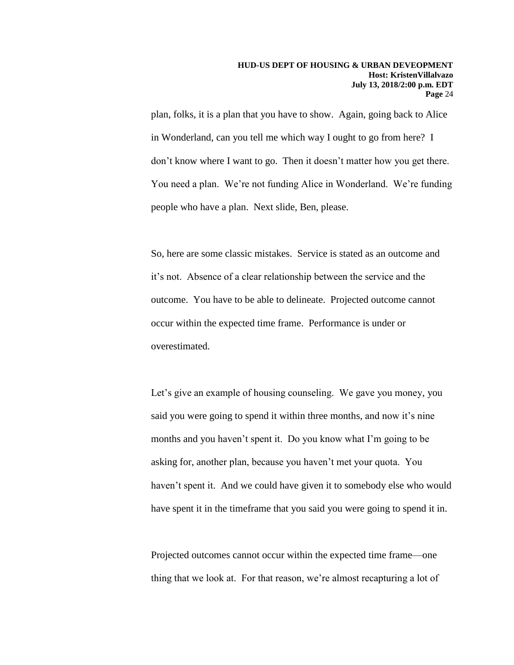plan, folks, it is a plan that you have to show. Again, going back to Alice in Wonderland, can you tell me which way I ought to go from here? I don't know where I want to go. Then it doesn't matter how you get there. You need a plan. We're not funding Alice in Wonderland. We're funding people who have a plan. Next slide, Ben, please.

So, here are some classic mistakes. Service is stated as an outcome and it's not. Absence of a clear relationship between the service and the outcome. You have to be able to delineate. Projected outcome cannot occur within the expected time frame. Performance is under or overestimated.

Let's give an example of housing counseling. We gave you money, you said you were going to spend it within three months, and now it's nine months and you haven't spent it. Do you know what I'm going to be asking for, another plan, because you haven't met your quota. You haven't spent it. And we could have given it to somebody else who would have spent it in the timeframe that you said you were going to spend it in.

Projected outcomes cannot occur within the expected time frame—one thing that we look at. For that reason, we're almost recapturing a lot of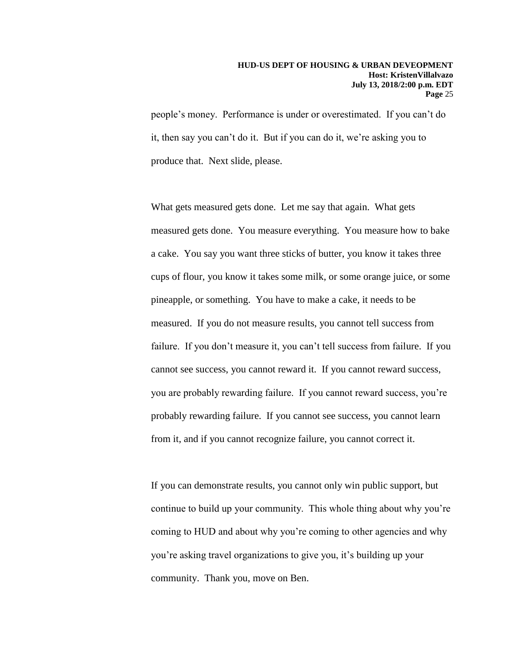people's money. Performance is under or overestimated. If you can't do it, then say you can't do it. But if you can do it, we're asking you to produce that. Next slide, please.

What gets measured gets done. Let me say that again. What gets measured gets done. You measure everything. You measure how to bake a cake. You say you want three sticks of butter, you know it takes three cups of flour, you know it takes some milk, or some orange juice, or some pineapple, or something. You have to make a cake, it needs to be measured. If you do not measure results, you cannot tell success from failure. If you don't measure it, you can't tell success from failure. If you cannot see success, you cannot reward it. If you cannot reward success, you are probably rewarding failure. If you cannot reward success, you're probably rewarding failure. If you cannot see success, you cannot learn from it, and if you cannot recognize failure, you cannot correct it.

If you can demonstrate results, you cannot only win public support, but continue to build up your community. This whole thing about why you're coming to HUD and about why you're coming to other agencies and why you're asking travel organizations to give you, it's building up your community. Thank you, move on Ben.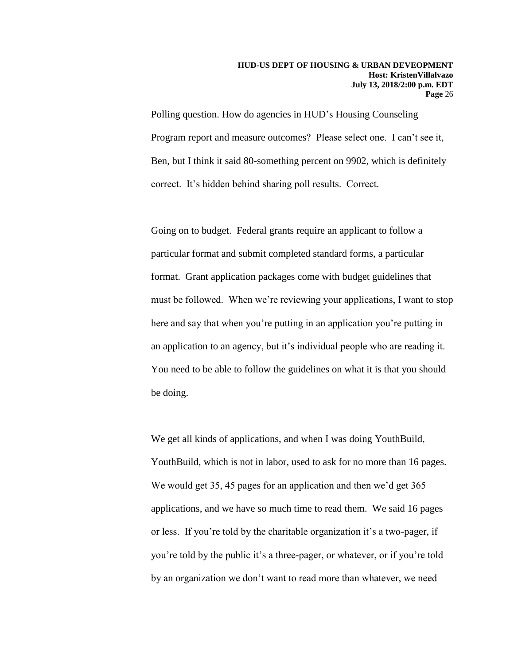Polling question. How do agencies in HUD's Housing Counseling Program report and measure outcomes? Please select one. I can't see it, Ben, but I think it said 80-something percent on 9902, which is definitely correct. It's hidden behind sharing poll results. Correct.

Going on to budget. Federal grants require an applicant to follow a particular format and submit completed standard forms, a particular format. Grant application packages come with budget guidelines that must be followed. When we're reviewing your applications, I want to stop here and say that when you're putting in an application you're putting in an application to an agency, but it's individual people who are reading it. You need to be able to follow the guidelines on what it is that you should be doing.

We get all kinds of applications, and when I was doing YouthBuild, YouthBuild, which is not in labor, used to ask for no more than 16 pages. We would get 35, 45 pages for an application and then we'd get 365 applications, and we have so much time to read them. We said 16 pages or less. If you're told by the charitable organization it's a two-pager, if you're told by the public it's a three-pager, or whatever, or if you're told by an organization we don't want to read more than whatever, we need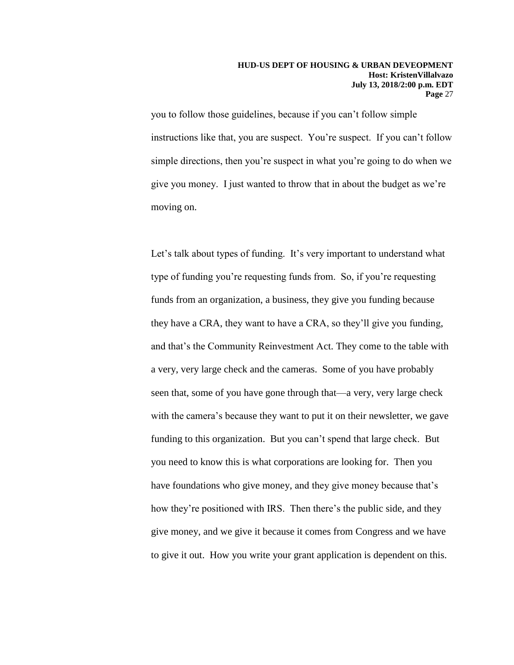you to follow those guidelines, because if you can't follow simple instructions like that, you are suspect. You're suspect. If you can't follow simple directions, then you're suspect in what you're going to do when we give you money. I just wanted to throw that in about the budget as we're moving on.

Let's talk about types of funding. It's very important to understand what type of funding you're requesting funds from. So, if you're requesting funds from an organization, a business, they give you funding because they have a CRA, they want to have a CRA, so they'll give you funding, and that's the Community Reinvestment Act. They come to the table with a very, very large check and the cameras. Some of you have probably seen that, some of you have gone through that—a very, very large check with the camera's because they want to put it on their newsletter, we gave funding to this organization. But you can't spend that large check. But you need to know this is what corporations are looking for. Then you have foundations who give money, and they give money because that's how they're positioned with IRS. Then there's the public side, and they give money, and we give it because it comes from Congress and we have to give it out. How you write your grant application is dependent on this.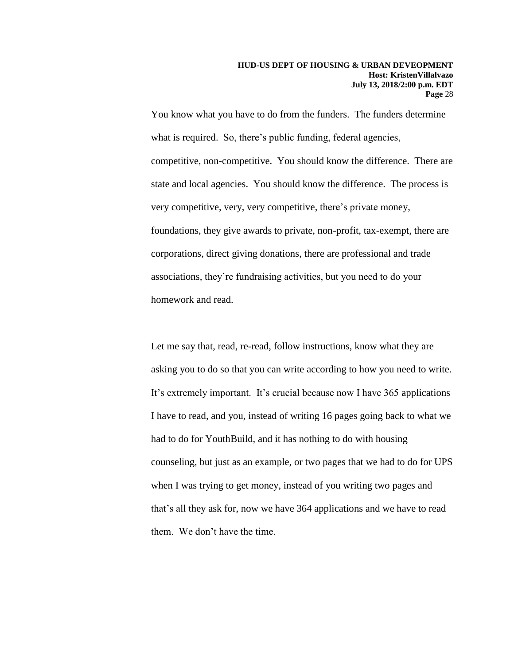You know what you have to do from the funders. The funders determine what is required. So, there's public funding, federal agencies, competitive, non-competitive. You should know the difference. There are state and local agencies. You should know the difference. The process is very competitive, very, very competitive, there's private money, foundations, they give awards to private, non-profit, tax-exempt, there are corporations, direct giving donations, there are professional and trade associations, they're fundraising activities, but you need to do your homework and read.

Let me say that, read, re-read, follow instructions, know what they are asking you to do so that you can write according to how you need to write. It's extremely important. It's crucial because now I have 365 applications I have to read, and you, instead of writing 16 pages going back to what we had to do for YouthBuild, and it has nothing to do with housing counseling, but just as an example, or two pages that we had to do for UPS when I was trying to get money, instead of you writing two pages and that's all they ask for, now we have 364 applications and we have to read them. We don't have the time.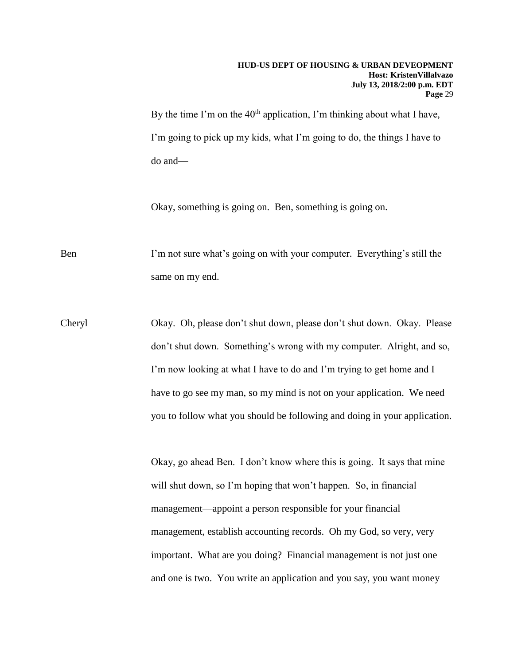### **HUD-US DEPT OF HOUSING & URBAN DEVEOPMENT Host: KristenVillalvazo July 13, 2018/2:00 p.m. EDT Page** 29

By the time I'm on the  $40<sup>th</sup>$  application, I'm thinking about what I have, I'm going to pick up my kids, what I'm going to do, the things I have to do and—

Okay, something is going on. Ben, something is going on.

Ben I'm not sure what's going on with your computer. Everything's still the same on my end.

Cheryl Okay. Oh, please don't shut down, please don't shut down. Okay. Please don't shut down. Something's wrong with my computer. Alright, and so, I'm now looking at what I have to do and I'm trying to get home and I have to go see my man, so my mind is not on your application. We need you to follow what you should be following and doing in your application.

> Okay, go ahead Ben. I don't know where this is going. It says that mine will shut down, so I'm hoping that won't happen. So, in financial management—appoint a person responsible for your financial management, establish accounting records. Oh my God, so very, very important. What are you doing? Financial management is not just one and one is two. You write an application and you say, you want money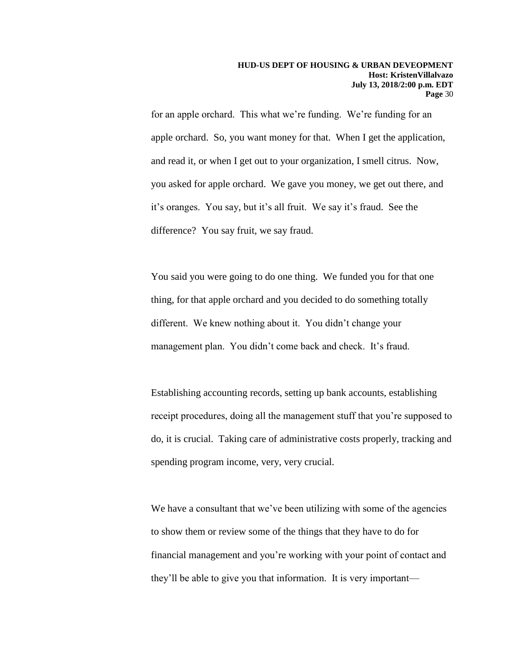for an apple orchard. This what we're funding. We're funding for an apple orchard. So, you want money for that. When I get the application, and read it, or when I get out to your organization, I smell citrus. Now, you asked for apple orchard. We gave you money, we get out there, and it's oranges. You say, but it's all fruit. We say it's fraud. See the difference? You say fruit, we say fraud.

You said you were going to do one thing. We funded you for that one thing, for that apple orchard and you decided to do something totally different. We knew nothing about it. You didn't change your management plan. You didn't come back and check. It's fraud.

Establishing accounting records, setting up bank accounts, establishing receipt procedures, doing all the management stuff that you're supposed to do, it is crucial. Taking care of administrative costs properly, tracking and spending program income, very, very crucial.

We have a consultant that we've been utilizing with some of the agencies to show them or review some of the things that they have to do for financial management and you're working with your point of contact and they'll be able to give you that information. It is very important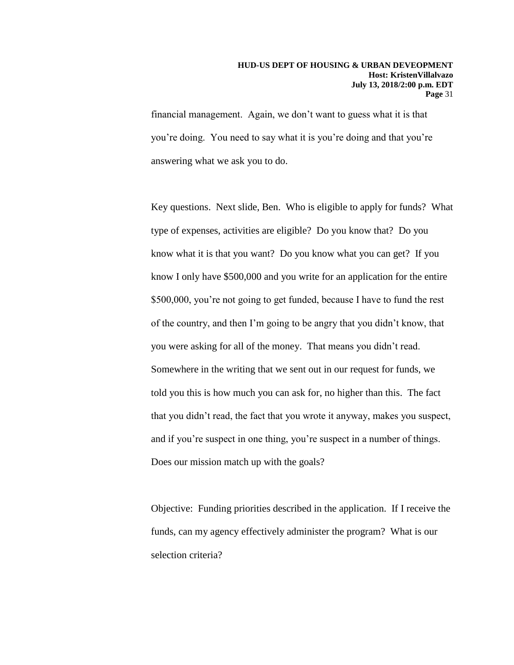financial management. Again, we don't want to guess what it is that you're doing. You need to say what it is you're doing and that you're answering what we ask you to do.

Key questions. Next slide, Ben. Who is eligible to apply for funds? What type of expenses, activities are eligible? Do you know that? Do you know what it is that you want? Do you know what you can get? If you know I only have \$500,000 and you write for an application for the entire \$500,000, you're not going to get funded, because I have to fund the rest of the country, and then I'm going to be angry that you didn't know, that you were asking for all of the money. That means you didn't read. Somewhere in the writing that we sent out in our request for funds, we told you this is how much you can ask for, no higher than this. The fact that you didn't read, the fact that you wrote it anyway, makes you suspect, and if you're suspect in one thing, you're suspect in a number of things. Does our mission match up with the goals?

Objective: Funding priorities described in the application. If I receive the funds, can my agency effectively administer the program? What is our selection criteria?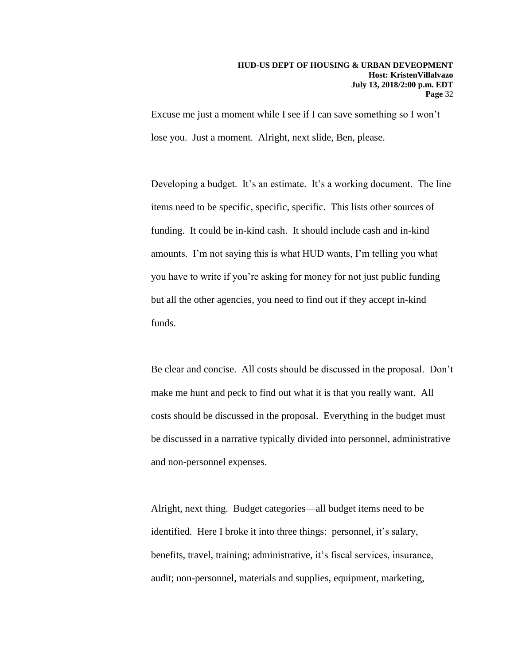Excuse me just a moment while I see if I can save something so I won't lose you. Just a moment. Alright, next slide, Ben, please.

Developing a budget. It's an estimate. It's a working document. The line items need to be specific, specific, specific. This lists other sources of funding. It could be in-kind cash. It should include cash and in-kind amounts. I'm not saying this is what HUD wants, I'm telling you what you have to write if you're asking for money for not just public funding but all the other agencies, you need to find out if they accept in-kind funds.

Be clear and concise. All costs should be discussed in the proposal. Don't make me hunt and peck to find out what it is that you really want. All costs should be discussed in the proposal. Everything in the budget must be discussed in a narrative typically divided into personnel, administrative and non-personnel expenses.

Alright, next thing. Budget categories—all budget items need to be identified. Here I broke it into three things: personnel, it's salary, benefits, travel, training; administrative, it's fiscal services, insurance, audit; non-personnel, materials and supplies, equipment, marketing,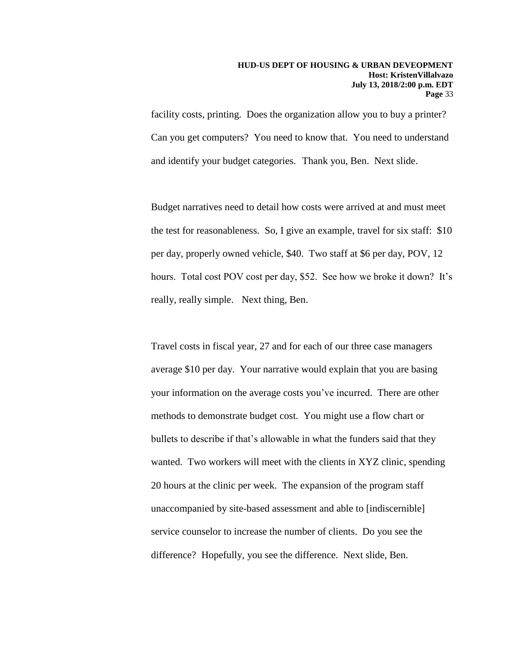facility costs, printing. Does the organization allow you to buy a printer? Can you get computers? You need to know that. You need to understand and identify your budget categories. Thank you, Ben. Next slide.

Budget narratives need to detail how costs were arrived at and must meet the test for reasonableness. So, I give an example, travel for six staff: \$10 per day, properly owned vehicle, \$40. Two staff at \$6 per day, POV, 12 hours. Total cost POV cost per day, \$52. See how we broke it down? It's really, really simple. Next thing, Ben.

Travel costs in fiscal year, 27 and for each of our three case managers average \$10 per day. Your narrative would explain that you are basing your information on the average costs you've incurred. There are other methods to demonstrate budget cost. You might use a flow chart or bullets to describe if that's allowable in what the funders said that they wanted. Two workers will meet with the clients in XYZ clinic, spending 20 hours at the clinic per week. The expansion of the program staff unaccompanied by site-based assessment and able to [indiscernible] service counselor to increase the number of clients. Do you see the difference? Hopefully, you see the difference. Next slide, Ben.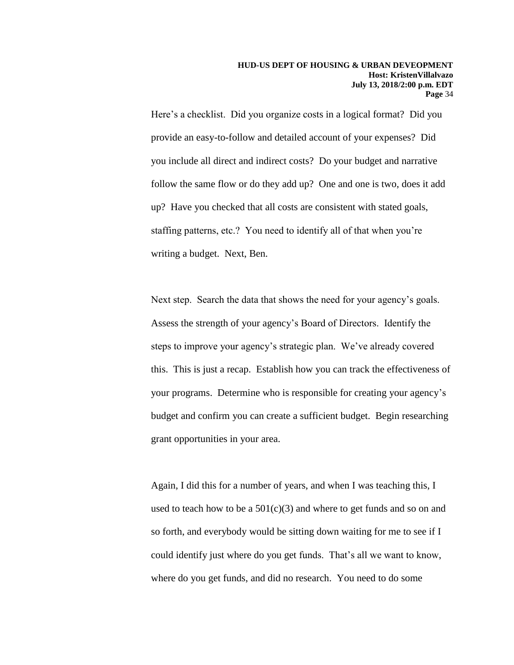Here's a checklist. Did you organize costs in a logical format? Did you provide an easy-to-follow and detailed account of your expenses? Did you include all direct and indirect costs? Do your budget and narrative follow the same flow or do they add up? One and one is two, does it add up? Have you checked that all costs are consistent with stated goals, staffing patterns, etc.? You need to identify all of that when you're writing a budget. Next, Ben.

Next step. Search the data that shows the need for your agency's goals. Assess the strength of your agency's Board of Directors. Identify the steps to improve your agency's strategic plan. We've already covered this. This is just a recap. Establish how you can track the effectiveness of your programs. Determine who is responsible for creating your agency's budget and confirm you can create a sufficient budget. Begin researching grant opportunities in your area.

Again, I did this for a number of years, and when I was teaching this, I used to teach how to be a  $501(c)(3)$  and where to get funds and so on and so forth, and everybody would be sitting down waiting for me to see if I could identify just where do you get funds. That's all we want to know, where do you get funds, and did no research. You need to do some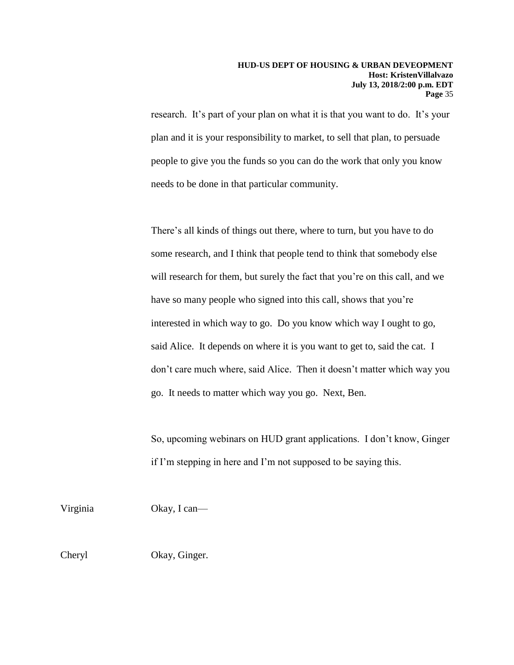research. It's part of your plan on what it is that you want to do. It's your plan and it is your responsibility to market, to sell that plan, to persuade people to give you the funds so you can do the work that only you know needs to be done in that particular community.

There's all kinds of things out there, where to turn, but you have to do some research, and I think that people tend to think that somebody else will research for them, but surely the fact that you're on this call, and we have so many people who signed into this call, shows that you're interested in which way to go. Do you know which way I ought to go, said Alice. It depends on where it is you want to get to, said the cat. I don't care much where, said Alice. Then it doesn't matter which way you go. It needs to matter which way you go. Next, Ben.

So, upcoming webinars on HUD grant applications. I don't know, Ginger if I'm stepping in here and I'm not supposed to be saying this.

Virginia Okay, I can— Cheryl Okay, Ginger.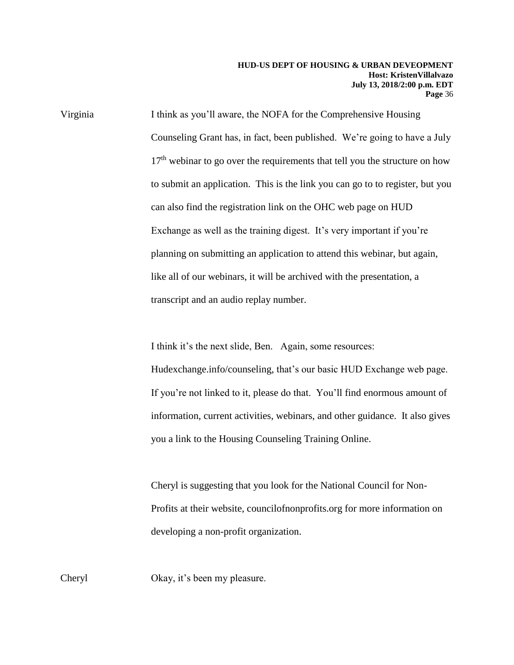Virginia I think as you'll aware, the NOFA for the Comprehensive Housing Counseling Grant has, in fact, been published. We're going to have a July  $17<sup>th</sup>$  webinar to go over the requirements that tell you the structure on how to submit an application. This is the link you can go to to register, but you can also find the registration link on the OHC web page on HUD Exchange as well as the training digest. It's very important if you're planning on submitting an application to attend this webinar, but again, like all of our webinars, it will be archived with the presentation, a transcript and an audio replay number.

I think it's the next slide, Ben. Again, some resources:

Hudexchange.info/counseling, that's our basic HUD Exchange web page. If you're not linked to it, please do that. You'll find enormous amount of information, current activities, webinars, and other guidance. It also gives you a link to the Housing Counseling Training Online.

Cheryl is suggesting that you look for the National Council for Non-Profits at their website, councilofnonprofits.org for more information on developing a non-profit organization.

Cheryl Okay, it's been my pleasure.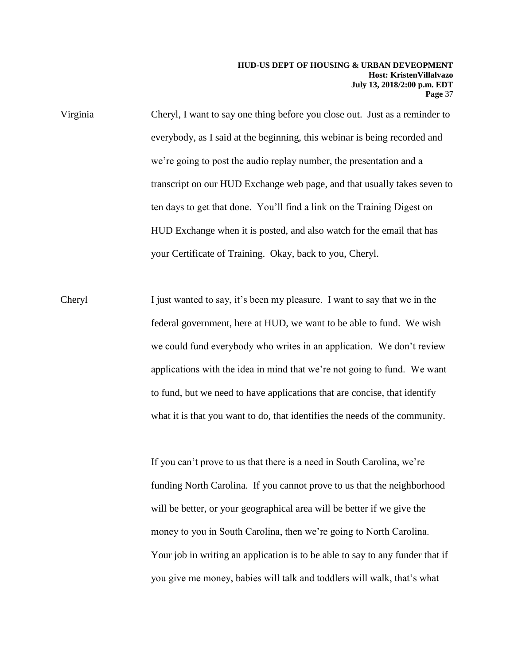#### **HUD-US DEPT OF HOUSING & URBAN DEVEOPMENT Host: KristenVillalvazo July 13, 2018/2:00 p.m. EDT Page** 37

Virginia Cheryl, I want to say one thing before you close out. Just as a reminder to everybody, as I said at the beginning, this webinar is being recorded and we're going to post the audio replay number, the presentation and a transcript on our HUD Exchange web page, and that usually takes seven to ten days to get that done. You'll find a link on the Training Digest on HUD Exchange when it is posted, and also watch for the email that has your Certificate of Training. Okay, back to you, Cheryl.

Cheryl I just wanted to say, it's been my pleasure. I want to say that we in the federal government, here at HUD, we want to be able to fund. We wish we could fund everybody who writes in an application. We don't review applications with the idea in mind that we're not going to fund. We want to fund, but we need to have applications that are concise, that identify what it is that you want to do, that identifies the needs of the community.

> If you can't prove to us that there is a need in South Carolina, we're funding North Carolina. If you cannot prove to us that the neighborhood will be better, or your geographical area will be better if we give the money to you in South Carolina, then we're going to North Carolina. Your job in writing an application is to be able to say to any funder that if you give me money, babies will talk and toddlers will walk, that's what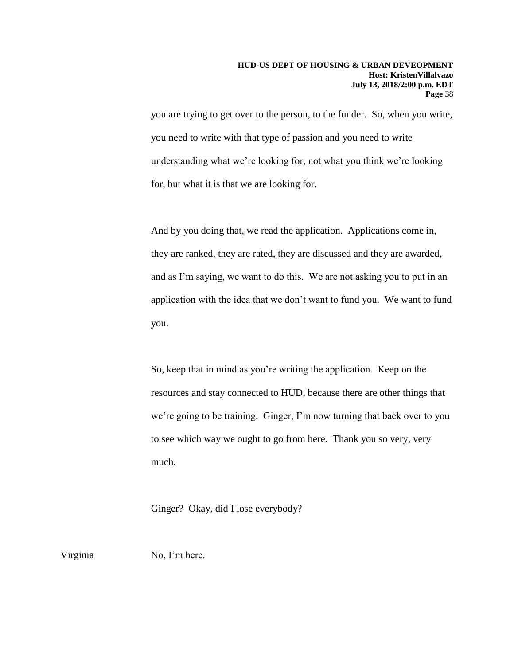you are trying to get over to the person, to the funder. So, when you write, you need to write with that type of passion and you need to write understanding what we're looking for, not what you think we're looking for, but what it is that we are looking for.

And by you doing that, we read the application. Applications come in, they are ranked, they are rated, they are discussed and they are awarded, and as I'm saying, we want to do this. We are not asking you to put in an application with the idea that we don't want to fund you. We want to fund you.

So, keep that in mind as you're writing the application. Keep on the resources and stay connected to HUD, because there are other things that we're going to be training. Ginger, I'm now turning that back over to you to see which way we ought to go from here. Thank you so very, very much.

Ginger? Okay, did I lose everybody?

Virginia No, I'm here.